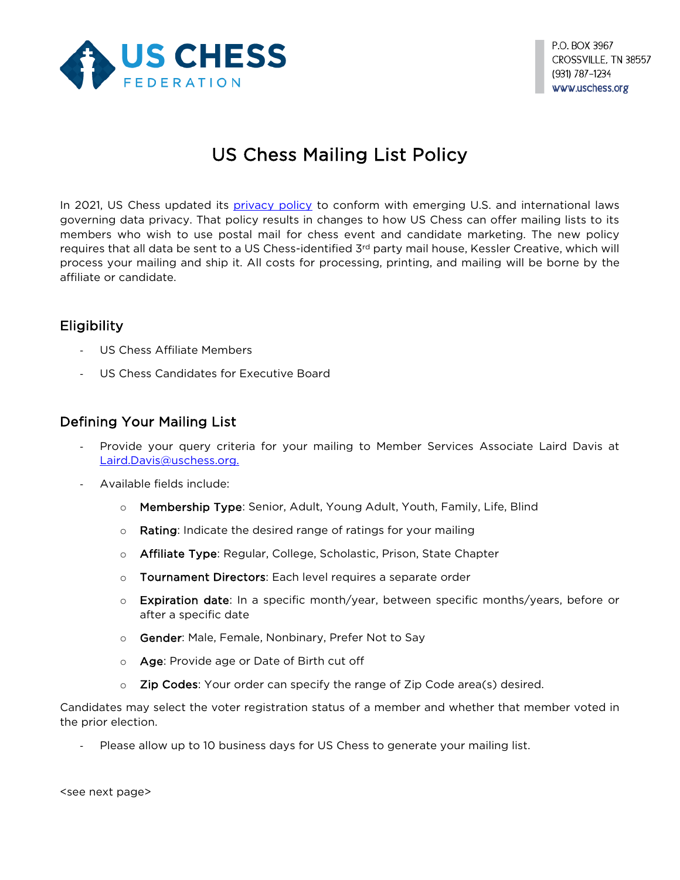

# US Chess Mailing List Policy

In 2021, US Chess updated its *privacy policy* to conform with emerging U.S. and international laws governing data privacy. That policy results in changes to how US Chess can offer mailing lists to its members who wish to use postal mail for chess event and candidate marketing. The new policy requires that all data be sent to a US Chess-identified  $3<sup>rd</sup>$  party mail house, Kessler Creative, which will process your mailing and ship it. All costs for processing, printing, and mailing will be borne by the affiliate or candidate.

## Eligibility

- US Chess Affiliate Members
- US Chess Candidates for Executive Board

### Defining Your Mailing List

- Provide your query criteria for your mailing to Member Services Associate Laird Davis at [Laird.Davis@uschess.org.](mailto:Laird.Davis@uschess.org)
- Available fields include:
	- o Membership Type: Senior, Adult, Young Adult, Youth, Family, Life, Blind
	- o Rating: Indicate the desired range of ratings for your mailing
	- o **Affiliate Type**: Regular, College, Scholastic, Prison, State Chapter
	- o Tournament Directors: Each level requires a separate order
	- $\circ$  Expiration date: In a specific month/year, between specific months/years, before or after a specific date
	- o Gender: Male, Female, Nonbinary, Prefer Not to Say
	- o Age: Provide age or Date of Birth cut off
	- $\circ$  Zip Codes: Your order can specify the range of Zip Code area(s) desired.

Candidates may select the voter registration status of a member and whether that member voted in the prior election.

Please allow up to 10 business days for US Chess to generate your mailing list.

<see next page>